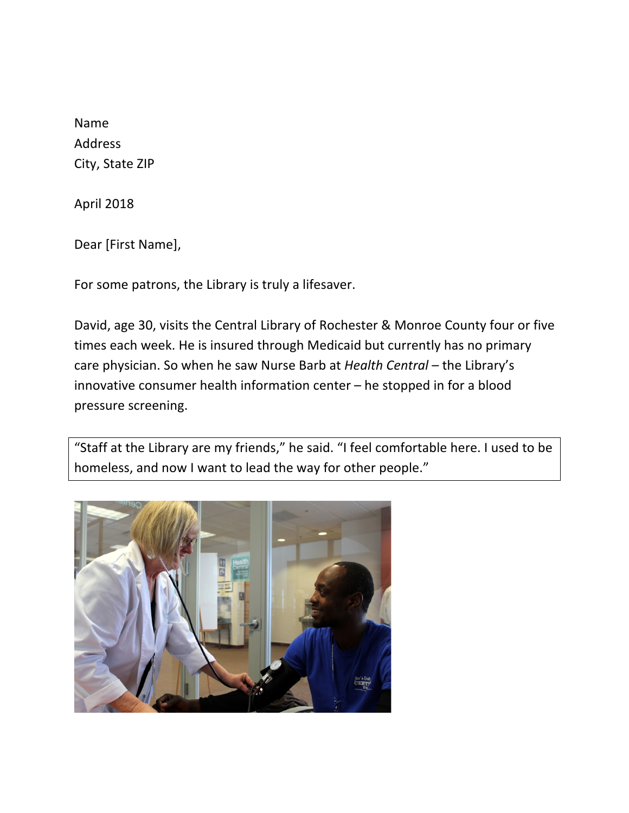Name Address City, State ZIP

April 2018

Dear [First Name],

For some patrons, the Library is truly a lifesaver.

David, age 30, visits the Central Library of Rochester & Monroe County four or five times each week. He is insured through Medicaid but currently has no primary care physician. So when he saw Nurse Barb at *Health Central* – the Library's innovative consumer health information center  $-$  he stopped in for a blood pressure screening.

"Staff at the Library are my friends," he said. "I feel comfortable here. I used to be homeless, and now I want to lead the way for other people."